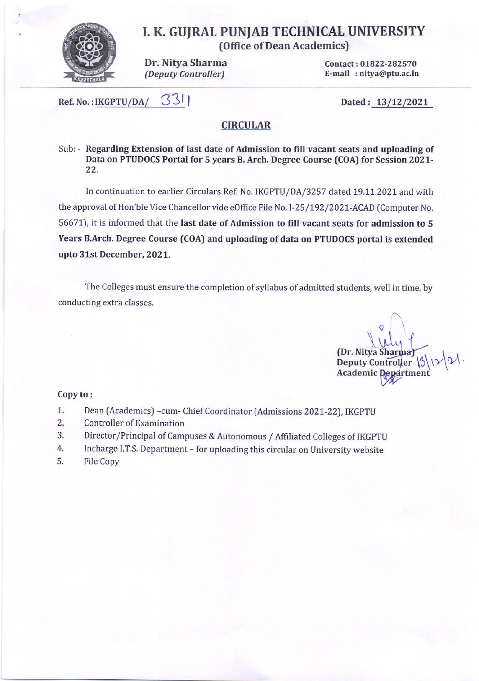

# I. K, GUJRAL PUN'AB TECHNICAL UNIVERSITY

(Office of Dean Academics)

Dr, Nitya Sharma {Deputy Controller)

Contact: 01822-282570 E-mail :nitya@ptu.ac,in

Ref. No. : IKGPTU/DA/  $331$  Dated :  $13/12/2021$ 

## **CIRCULAR**

Sub: - Regarding Extension of last date of Admission to fill vacant seats and uploading of Data on PTUDOCS Portal for 5 years B. Arch. Degree Course (COA) for Session 2021- 22.

In continuation to earlier Circulars Ref. No. IKGPTU/DA/3257 dated 19.11.2021 and with the approval of Hon'ble Vice Chancellor vide eOffice File No. I-25/192/2021-ACAD (Computer No. 56671), it is informed that the last date of Admission to fill vacant seats for admission to 5 Years B.Arch. Degree Course (COA) and uploading of data on PTUDOCS portal is extended upto 31st December, 2021.

The Colleges must ensure the completion of syllabus of admitted students, well in time, by conducting extra classes.

 $\ddot{\phantom{a}}$  $[Dr. Nitya Sharma]$ Deputy Controller \5\,<br>Academic Departmen Academic De W

### Copy to:

- 1. Dean (Academics) -cum- Chief Coordinator (Admissions 2021-22), IKGPTU
- 2. Controller of Examination
- 3. Director/Principal of Campuses & Autonomous / Affiliated Colleges of IKGPTU
- 4. Incharge I.T.S. Department - for uploading this circular on University website
- 5. File Copy